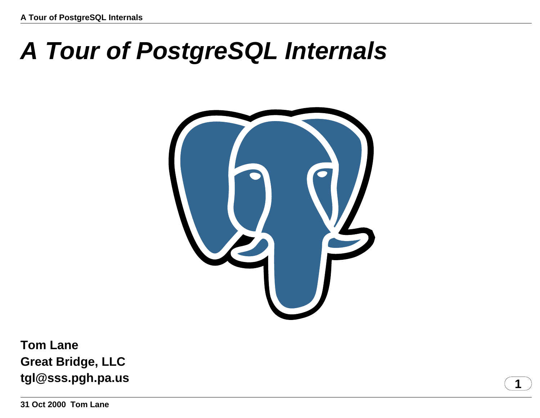# **A Tour of PostgreSQL Internals**



**Tom Lane Great Bridge, LLC tgl@sss.pgh.pa.us** 1

**31 Oct 2000 Tom Lane**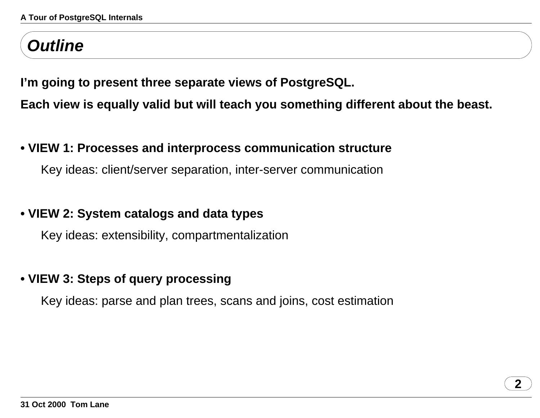# **Outline**

**I'm going to present three separate views of PostgreSQL.**

**Each view is equally valid but will teach you something different about the beast.**

### **• VIEW 1: Processes and interprocess communication structure**

Key ideas: client/server separation, inter-server communication

### **• VIEW 2: System catalogs and data types**

Key ideas: extensibility, compartmentalization

### **• VIEW 3: Steps of query processing**

Key ideas: parse and plan trees, scans and joins, cost estimation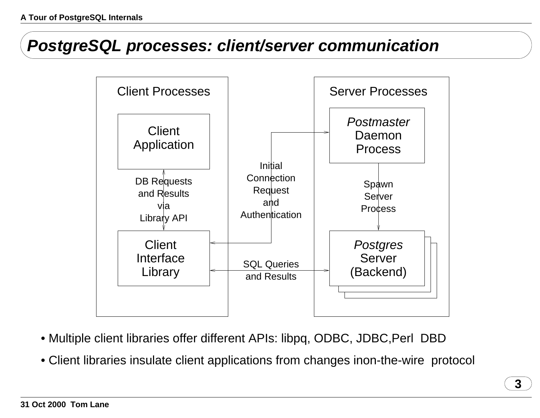### **PostgreSQL processes: client/server communication**



- Multiple client libraries offer different APIs: libpq, ODBC, JDBC, Perl DBD
- Client libraries insulate client applications from changes in on-the-wire protocol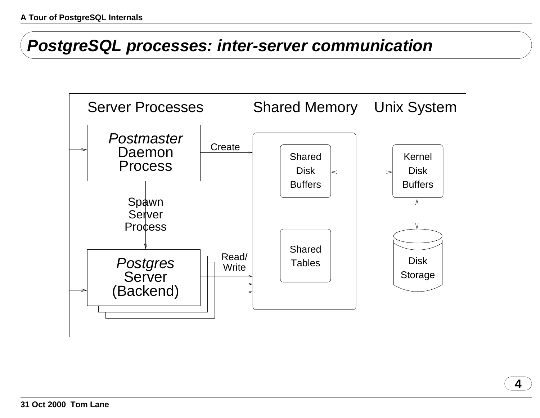**PostgreSQL processes: inter-server communication**

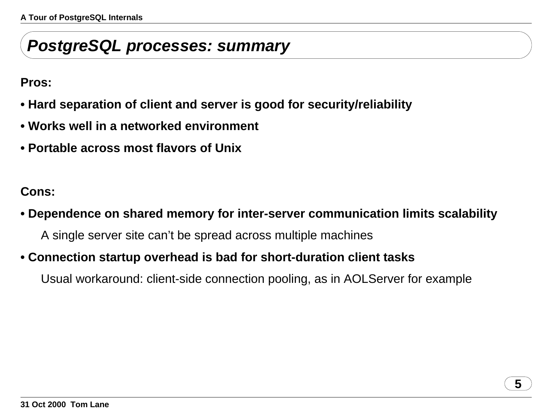### **PostgreSQL processes: summary**

**Pros:**

- **• Hard separation of client and server is good for security/reliability**
- **• Works well in a networked environment**
- **• Portable across most flavors of Unix**

**Cons:**

### **• Dependence on shared memory for inter-server communication limits scalability**

A single server site can't be spread across multiple machines

### **• Connection startup overhead is bad for short-duration client tasks**

Usual workaround: client-side connection pooling, as in AOLServer for example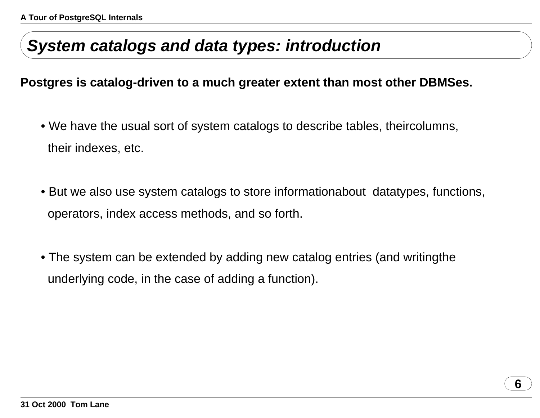## **System catalogs and data types: introduction**

#### **Postgres is catalog-driven to <sup>a</sup> much greater extent than most other DBMSes.**

- We have the usual sort of system catalogs to describe tables, their columns, their indexes, etc.
- But we also use system catalogs to store information about datatypes, functions, operators, index access methods, and so forth.
- The system can be extended by adding new catalog entries (and writing the underlying code, in the case of adding <sup>a</sup> function).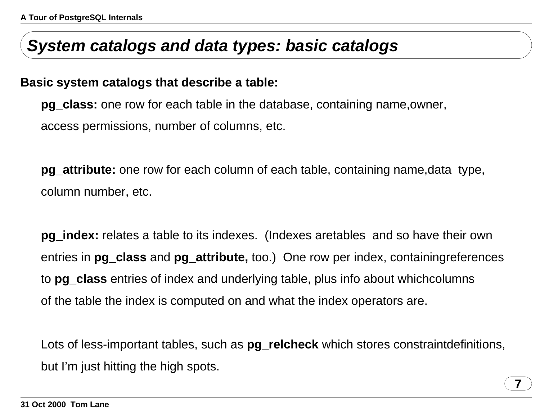## **System catalogs and data types: basic catalogs**

#### **Basic system catalogs that describe <sup>a</sup> table:**

**pg\_class:** one row for each table in the database, containing name, owner, access permissions, number of columns, etc.

**pg\_attribute:** one row for each column of each table, containing name, data type, column number, etc.

**pg\_index:** relates <sup>a</sup> table to its indexes. (Indexes are tables and so have their own entries in **pg\_class** and **pg\_attribute,** too.) One row per index, containing references to **pg\_class** entries of index and underlying table, plus info about which columnsof the table the index is computed on and what the index operators are.

Lots of less-important tables, such as **pg\_relcheck** which stores constraint definitions, but I'm just hitting the high spots.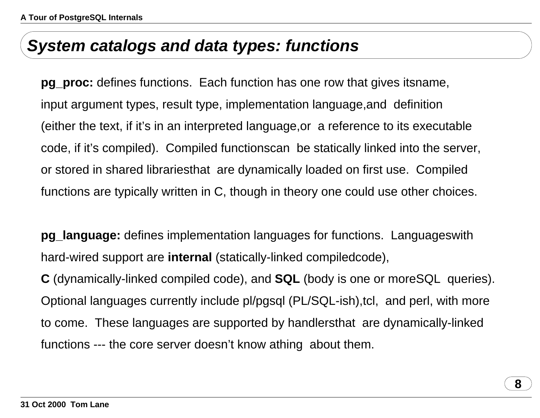### **System catalogs and data types: functions**

**pg\_proc:** defines functions. Each function has one row that gives its name, input argument types, result type, implementation language, and definition (either the text, if it's in an interpreted language, or a reference to its executable code, if it's compiled). Compiled functions can be statically linked into the server, or stored in shared libraries that are dynamically loaded on first use. Compiled functions are typically written in C, though in theory one could use other choices.

**pg\_language:** defines implementation languages for functions. Languages with hard-wired support are **internal** (statically-linked compiled code),

**C** (dynamically-linked compiled code), and **SQL** (body is one or more SQL queries). Optional languages currently include pl/pgsql (PL/SQL-ish), tcl, and perl, with more to come. These languages are supported by handlers that are dynamically-linked functions --- the core server doesn't know a thing about them.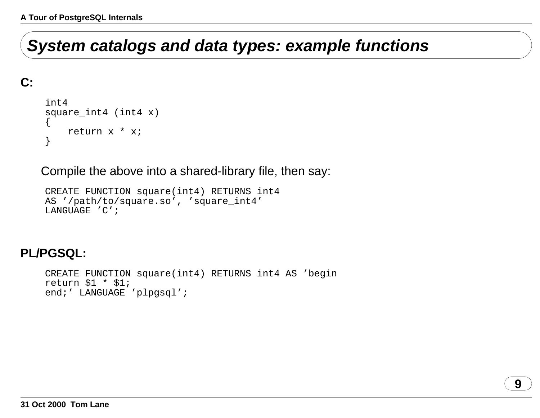# **System catalogs and data types: example functions**

### **C:**

```
int4square_int4 (int4 x)
{
    return x * x;
}
```
Compile the above into <sup>a</sup> shared-library file, then say:

```
CREATE FUNCTION square(int4) RETURNS int4
AS '/path/to/square.so', 'square_int4'
LANGUAGE 'C';
```
### **PL/PGSQL:**

```
CREATE FUNCTION square(int4) RETURNS int4 AS 'begin
return $1 * $1;
end;' LANGUAGE 'plpgsql';
```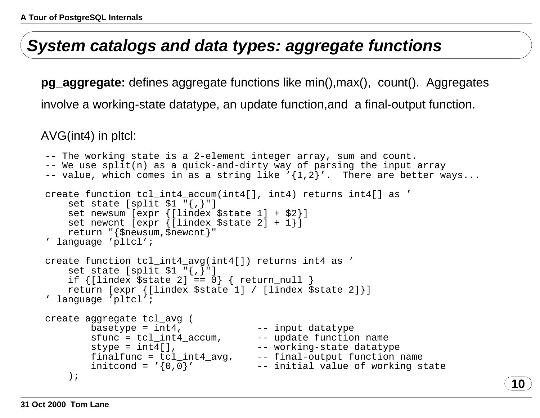### **System catalogs and data types: aggregate functions**

**pg\_aggregate:** defines aggregate functions like min(), max(), count(). Aggregates involve <sup>a</sup> working-state datatype, an update function, and <sup>a</sup> final-output function.

AVG(int4) in pltcl:

```
-- The working state is a 2-element integer array, sum and count.
-- We use split(n) as a quick-and-dirty way of parsing the input array
-- value, which comes in as a string like '{1,2}'. There are better ways...
create function tcl_int4_accum(int4[], int4) returns int4[] as '
   set state [split $1 "{,}"]
   set newsum [expr {[lindex $state 1] + $2}]
   set newcnt [expr {[lindex $state 2] + 1}]
   return "{$newsum,$newcnt}"
' language 'pltcl';
create function tcl_int4_avg(int4[]) returns int4 as '
   set state [split $1 "{,}"]
   if {[lindex $state 2] == 0} { return_null }
   return [expr {[lindex $state 1] / [lindex $state 2]}]
' language 'pltcl';
create aggregate tcl_avg (
       basetype = int4, -- input datatypesfunc = tcl_int4_accum, -- update function name
       style = int4[], \leftarrow working-state datatype
       finalfunc = tcl_int4_avg, -- final-output function name
       initcond = '\{0\,,0\}' \qquad -- initial value of working state
    ); 10
```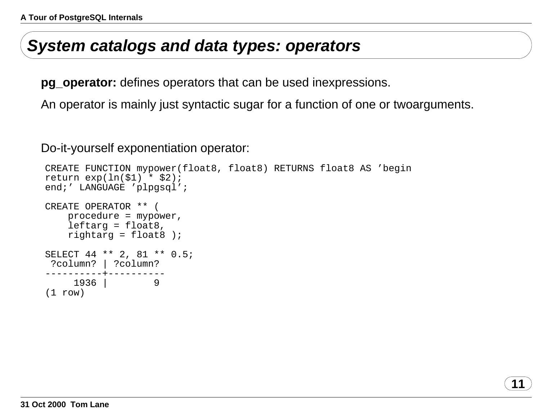### **System catalogs and data types: operators**

**pg\_operator:** defines operators that can be used in expressions.

An operator is mainly just syntactic sugar for <sup>a</sup> function of one or two arguments.

**11**

Do-it-yourself exponentiation operator:

```
CREATE FUNCTION mypower(float8, float8) RETURNS float8 AS 'begin
return exp(ln($1) * $2);
end;' LANGUAGE 'plpgsql';
CREATE OPERATOR ** (
   procedure = mypower,
   leftarg = float8,
   rightarg = float8 );
SELECT 44 ** 2, 81 ** 0.5;
 ?column? | ?column?
----------+----------1936 | 9
(1 row)
```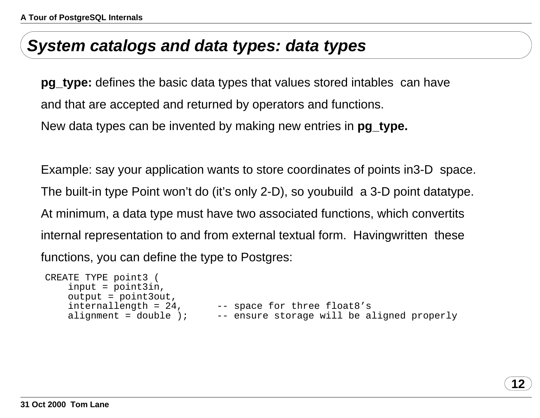### **System catalogs and data types: data types**

**pg\_type:** defines the basic data types that values stored in tables can have and that are accepted and returned by operators and functions. New data types can be invented by making new entries in **pg\_type.**

Example: say your application wants to store coordinates of points in 3-D space. The built-in type Point won't do (it's only 2-D), so you build a 3-D point datatype. At minimum, <sup>a</sup> data type must have two associated functions, which convert its internal representation to and from external textual form. Having written these functions, you can define the type to Postgres:

```
CREATE TYPE point3 (
   input = point3in,
   output = point3out,
   internallength = 24, -- space for three float8's
   alignment = double i; - -- ensure storage will be aligned properly
```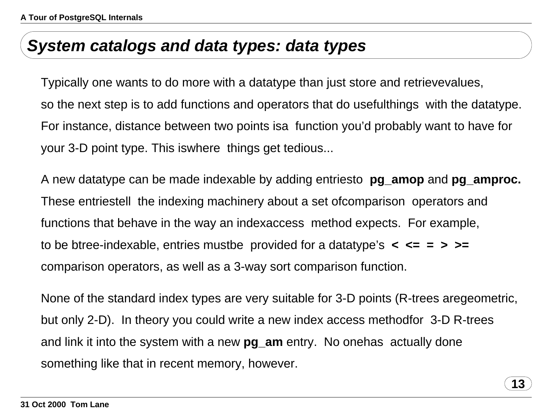### **System catalogs and data types: data types**

Typically one wants to do more with <sup>a</sup> datatype than just store and retrieve values, so the next step is to add functions and operators that do useful things with the datatype. For instance, distance between two points is a function you'd probably want to have for your 3-D point type. This is where things get tedious...

A new datatype can be made indexable by adding entries to **pg\_amop** and **pg\_amproc.** These entries tell the indexing machinery about a set of comparison operators and functions that behave in the way an index access method expects. For example, to be btree-indexable, entries must be provided for <sup>a</sup> datatype's **<sup>&</sup>lt; <= <sup>=</sup> <sup>&</sup>gt; >=** comparison operators, as well as <sup>a</sup> 3-way sort comparison function.

None of the standard index types are very suitable for 3-D points (R-trees are geometric, but only 2-D). In theory you could write <sup>a</sup> new index access method for 3-D R-trees and link it into the system with <sup>a</sup> new **pg\_am** entry. No one has actually done something like that in recent memory, however.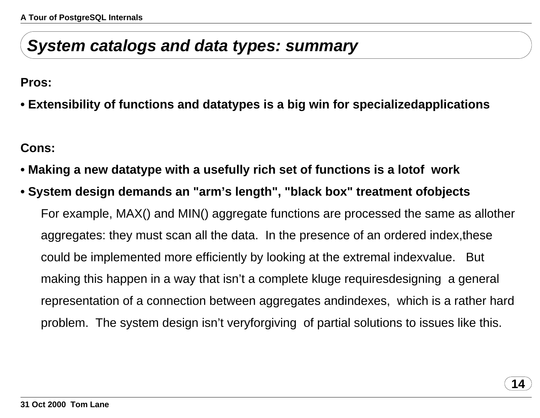## **System catalogs and data types: summary**

**Pros:**

**• Extensibility of functions and datatypes is <sup>a</sup> big win for specialized applications**

**Cons:**

- **• Making <sup>a</sup> new datatype with <sup>a</sup> usefully rich set of functions is <sup>a</sup> lot of work**
- **• System design demands an "arm's length", "black box" treatment of objects** For example, MAX() and MIN() aggregate functions are processed the same as all other aggregates: they must scan all the data. In the presence of an ordered index, these could be implemented more efficiently by looking at the extremal index value. But making this happen in <sup>a</sup> way that isn't <sup>a</sup> complete kluge requires designing <sup>a</sup> general representation of <sup>a</sup> connection between aggregates and indexes, which is <sup>a</sup> rather hard problem. The system design isn't very forgiving of partial solutions to issues like this.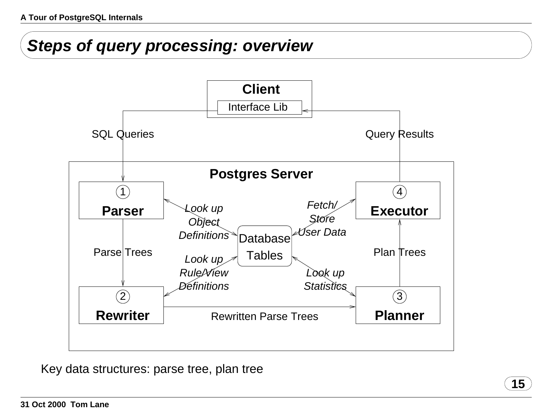# **Steps of query processing: overview**



**15**

Key data structures: parse tree, plan tree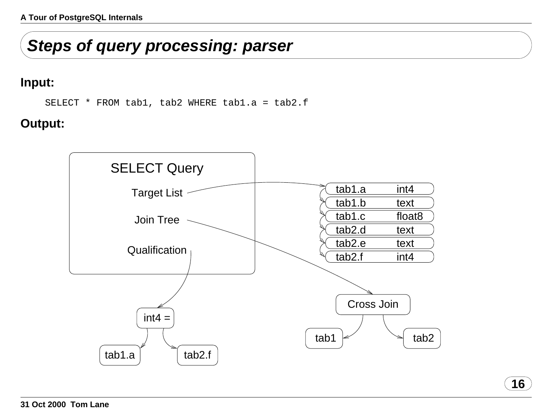# **Steps of query processing: parser**

#### **Input:**

SELECT \* FROM tab1, tab2 WHERE tab1.a <sup>=</sup> tab2.f

### **Output:**

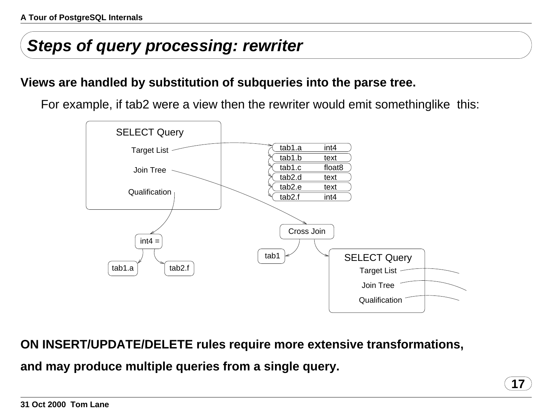# **Steps of query processing: rewriter**

### **Views are handled by substitution of subqueries into the parse tree.**

For example, if tab2 were <sup>a</sup> view then the rewriter would emit something like this:



**17**

**ON INSERT/UPDATE/DELETE rules require more extensive transformations,**

**and may produce multiple queries from <sup>a</sup> single query.**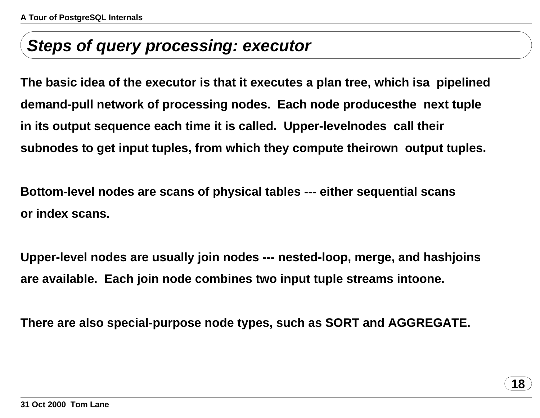### **Steps of query processing: executor**

**The basic idea of the executor is that it executes <sup>a</sup> plan tree, which is a pipelined demand-pull network of processing nodes. Each node produces the next tuple in its output sequence each time it is called. Upper-level nodes call their subnodes to get input tuples, from which they compute their own output tuples.**

**Bottom-level nodes are scans of physical tables --- either sequential scans or index scans.**

**Upper-level nodes are usually join nodes --- nested-loop, merge, and hash joins are available. Each join node combines two input tuple streams into one.**

**There are also special-purpose node types, such as SORT and AGGREGATE.**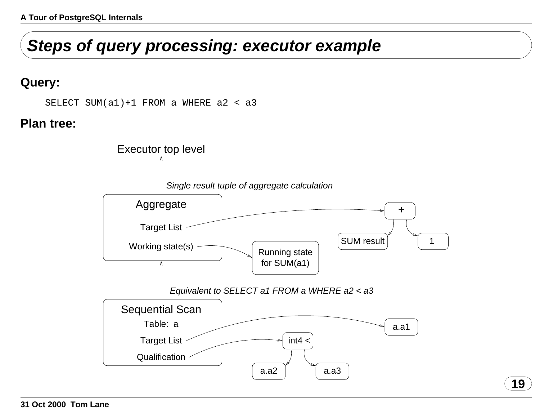# **Steps of query processing: executor example**

#### **Query:**

SELECT SUM(a1)+1 FROM <sup>a</sup> WHERE a2 <sup>&</sup>lt; a3

#### **Plan tree:**

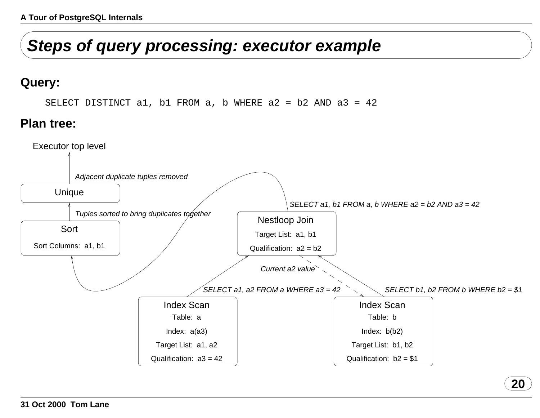# **Steps of query processing: executor example**

#### **Query:**

SELECT DISTINCT a1, b1 FROM a, b WHERE a2 <sup>=</sup> b2 AND a3 <sup>=</sup> 42

#### **Plan tree:**

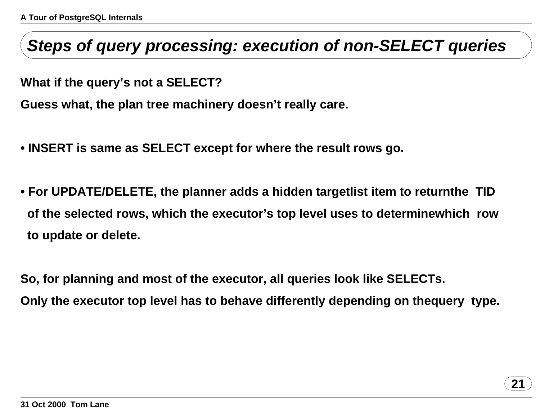## **Steps of query processing: execution of non-SELECT queries**

**What if the query's not <sup>a</sup> SELECT?**

**Guess what, the plan tree machinery doesn't really care.**

- **• INSERT is same as SELECT except for where the result rows go.**
- **• For UPDATE/DELETE, the planner adds <sup>a</sup> hidden targetlist item to return the TID of the selected rows, which the executor's top level uses to determine which row to update or delete.**

**So, for planning and most of the executor, all queries look like SELECTs. Only the executor top level has to behave differently depending on the query type.**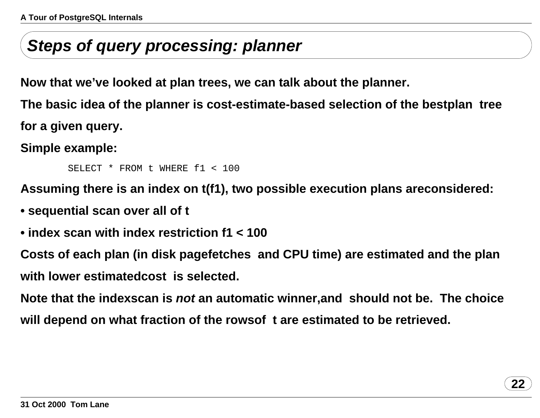# **Steps of query processing: planner**

**Now that we've looked at plan trees, we can talk about the planner.**

**The basic idea of the planner is cost-estimate-based selection of the best plan tree for a given query.**

**Simple example:**

SELECT \* FROM t WHERE f1 <sup>&</sup>lt; 100

**Assuming there is an index on t(f1), two possible execution plans are considered:**

- **• sequential scan over all of t**
- **• index scan with index restriction f1 <sup>&</sup>lt; 100**

**Costs of each plan (in disk page fetches and CPU time) are estimated and the plan with lower estimated cost is selected.**

**Note that the indexscan is not an automatic winner, and should not be. The choice will depend on what fraction of the rows of t are estimated to be retrieved.**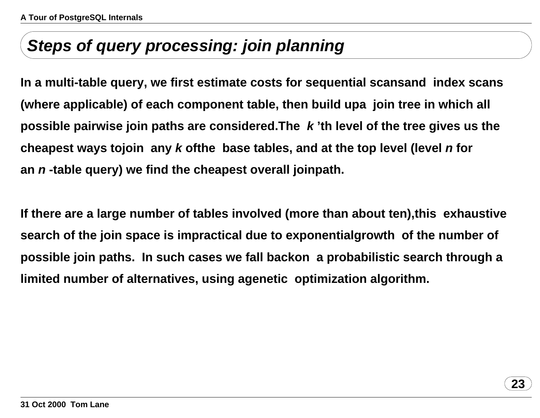# **Steps of query processing: join planning**

**In <sup>a</sup> multi-table query, we first estimate costs for sequential scans and index scans (where applicable) of each component table, then build up a join tree in which all possible pairwise join paths are considered. The k 'th level of the tree gives us the cheapest ways to join any k of the base tables, and at the top level (level <sup>n</sup> for an <sup>n</sup> -table query) we find the cheapest overall join path.**

**If there are <sup>a</sup> large number of tables involved (more than about ten), this exhaustive search of the join space is impractical due to exponential growth of the number of possible join paths. In such cases we fall back on <sup>a</sup> probabilistic search through <sup>a</sup> limited number of alternatives, using <sup>a</sup>genetic optimization algorithm.**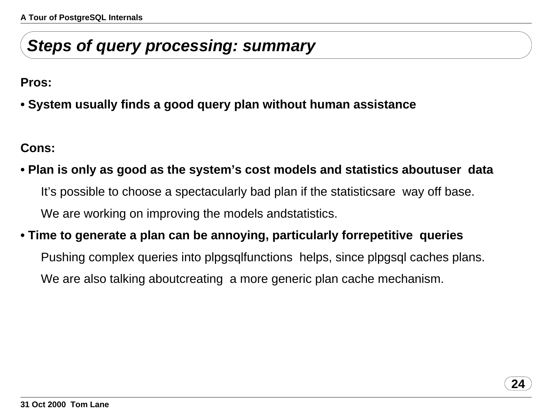# **Steps of query processing: summary**

**Pros:**

**• System usually finds <sup>a</sup> good query plan without human assistance**

**Cons:**

- **• Plan is only as good as the system's cost models and statistics about user data** It's possible to choose <sup>a</sup> spectacularly bad plan if the statistics are way off base. We are working on improving the models and statistics.
- **• Time to generate <sup>a</sup> plan can be annoying, particularly for repetitive queries**

Pushing complex queries into plpgsql functions helps, since plpgsql caches plans. We are also talking about creating a more generic plan cache mechanism.